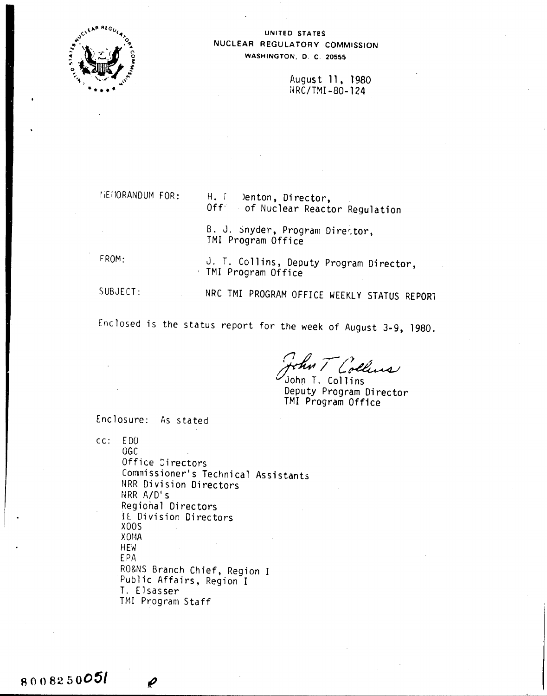

UNITED STATES NUCLEAR REGULATORY COMMISSION WASHINGTON, D. C. 20555

> August 11, 1980 NRC/TMI-80-124

MENORANDUM FOR:

H. F Denton, Director. Off of Nuclear Reactor Regulation

B. J. Snyder, Program Director, TMI Program Office

FROM:

8008250051

J. T. Collins, Deputy Program Director, TMI Program Office

SUBJECT:

NRC TMI PROGRAM OFFICE WEEKLY STATUS REPORT

Enclosed is the status report for the week of August 3-9, 1980.

an T Collins

John T. Collins Deputy Program Director TMI Program Office

Enclosure: As stated

 $cc: EDO$ **OGC** Office Directors Commissioner's Technical Assistants NRR Division Directors NRR A/D's Regional Directors IE Division Directors X<sub>0</sub>OS X0MA HEW EPA RO&NS Branch Chief, Region I Public Affairs, Region I T. Elsasser TMI Program Staff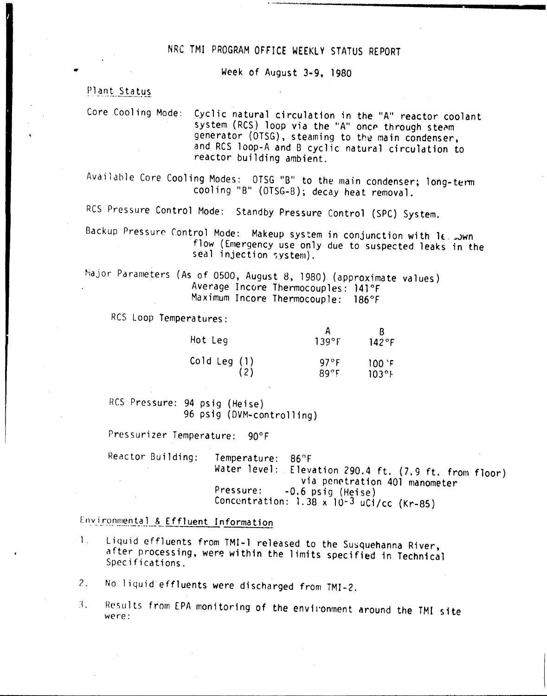## NRC TMI PROGRAM OFFICE WEEKLY STATUS REPORT

Week of August 3-9, 1980

**- -~ \_\_ ~ ...•" 0'""- ••• \_**

### Plant Status

•

Core .Cooling Mode: Cyclic natural circulation in the "A" reactor coolant system (RCS) loop via the "A" once through steam generator (OTSG), steaming to the main condenser, and RCS loop-A and B cyclic natural circulation to reactor building ambient.

Available Core Cooling Modes: OTSG "B" to the main condenser; long-term cooling "B" (OTSG-B); decay heat removal.

RCS Pressure Control Mode: Standby Pressure Control (SPC) System.

Backup Pressure Control Mode: Makeup system in conjunction with le. Juwn flow (Emergency use only due to suspected leaks in the seal injection system).

hajor Parameters (As of 0500, August 8, 1980) (approximate values) Average Incore Thermocouples: 141°F Maximum Incore Thermocouple: 186°F

RCS Loop Temperatures:

| Hot Leg      | 139°F        | $142^{\circ}$ F      |
|--------------|--------------|----------------------|
| Cold Leg (1) | 97°F         | $100$ $F$            |
| (2)          | $89^\circ$ F | $103$ <sup>o</sup> F |

RCS Pressure: 94 psig (Heise) 96 psig (DVM-controlling)

Pressurizer Temperature: 90°F

Reactor Building: Temperature: 86°F Water level: Elevation 290.4 ft. (7.9 ft. from floor) via penetration 401 manometer Pressure: -0.6 psig (Heise) Concentration:  $1.38 \times 10^{-3}$  uCi/cc (Kr-85)

Environmental & Effluent Information

1. Liquid effluents from TMI-l released to the Susquehanna River, after processing, were within the limits specified in Technical Specifications.

2. No liquid effluents were discharged from TMI-2.

3. Results from EPA monitoring of the environment around the TMI site were: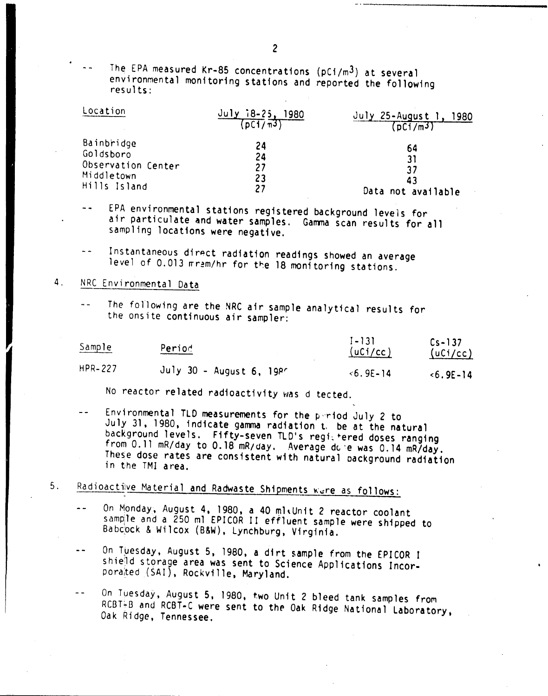The EPA measured Kr-85 concentrations (pCi/m3) at several environmental monitoring stations and reported the following results:

| Location           | $18-25$ , 1980<br>(DCI/m3) | July 25-August 1, 1980<br>(DCI/m3) |
|--------------------|----------------------------|------------------------------------|
| Bainbridge         | 24                         | 64                                 |
| Goldsboro          | 24                         | 31                                 |
| Observation Center | 27                         | 37                                 |
| Middletown         | 23                         | 43                                 |
| Hills Island       | 27                         | Data not available                 |

EPA environmental stations registered background levels for air particulate and water samples. Gamma scan results for all sampling locations were negative.

Instantaneous dirpct radiation readings showed an average level of 0.013 mram/hr for the 18 monitoring stations.

## 4. NRC Environmental Data

The following are the NRC air sample analytical results for  $\sim$   $\sim$ the onsite continuous air sampler:

| Sample         | Period                         | $1 - 131$<br>(uCi/cc) | $Cs - 137$<br>(uCi/cc) |
|----------------|--------------------------------|-----------------------|------------------------|
| <b>HPR-227</b> | July 30 - August $6, 19$ $P^r$ | $< 6.9E - 14$         | $5.9E - 14$            |

No reactor related radioactivity was d tected.

Environmental TLO measurements for the p"riod July 2 to July 31,1980, indicate ganma radiation t, be at the natural background levels. Fifty-seven TLD's regi-tered doses ranging from 0.11 mR/day to 0.18 mR/day. Average do e was 0.14 mR/day. These dose rates are consistent with natural oackground radiation in the TMI area.

### $5.$ Radioactive Material and Radwaste Shipments were as follows:

- On Monday, August 4, 1980, a 40 ml Unit 2 reactor coolant sample and a 250 ml EPICOR II effluent sample were shipped to Babcock & Wilcox (B&W), Lynchburg, Virginia.
- On Tuesday, August 5, 1980, a dirt sample from the EPICOR I  $\overline{\phantom{a}}$ shield storage area was sent to Science Applications Incorporated (SAI), Rockville, Maryland.
- On Tuesday, August 5, 1980, two Unit 2 bleed tank samples from  $\ddot{\phantom{1}}$ RCBT+B and RCBT-C were sent to the Oak Ridge National Laboratory, Oak Ridge, Tennessee.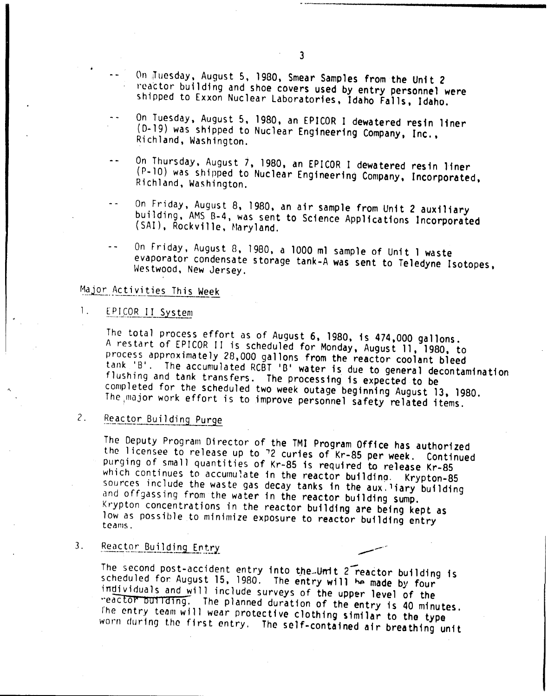- On Juesday, August 5, 1980, Smear Samples from the Unit 2 reactor building and shoe covers used by entry personnel were shipped to Exxon Nuclear Laboratories, Idaho Falls, Idaho.
- On Tuesday, August 5, 1980, an EPICOR I dewatered resin liner (0-19) was shipped to Nuclear Engineering Company, Inc., Richland, Washington.
- On Thursday, August 7, 1980, an EPICOR I dewatered resin liner  $\sim$   $\sim$ (P-l0) was shipped to Nuclear Engineering Company, Incorporated, Richland, Washington.
- On Friday, August 8, 1980, an air sample from Unit 2 auxiliary  $\mathbf{L}$ building, AMS B-4, was sent to Science Applications Incorporated (SAI), Rockville, Maryland.
- On Friday, August 8, 1980, a 1000 ml sample of Unit 1 waste evaporator condensate storage tank-A was sent to Teledyne Isotopes, Westwood, New Jersey.

## Major Activities This Week

#### 1. EPICOR II System

.\

The total process effort as of August 6, 1980, is 474,000 gallons. A restart of EPICOR II is scheduled for Monday, August 11, 1980, to process approximately 28,000 gallons from the reactor coolant bleed tank 'B'. The accumulated RCBT 'B' water is due to general decontamination flushing and tank transfers. The processing is expected to be completed for the scheduled two week outage beginning August 13, 1980. The major work effort is to improve personnel safety related items.

#### 2. Reactor Building Purge

The Deputy Program Director of the TMI Program Office has authorized the licensee to release up to '2 curies of Kr-85 per week. Continued purging of small quantities of Kr-85 is required to release Kr-85 which continues to accumulate in the reactor building. Krypton-85 sources include the waste gas decay tanks in the aux. liary building and offgassing from the water in the reactor building sump. Krypton concentrations in the reactor building are being kept as low as possible to minimize exposure to reactor building entry teams.

#### 3. Reactor Building Entry

The second post-accident entry into the Umit 2 reactor building is scheduled for August 15, 1980. The entry will be made by four individuals and will include surveys of the upper level of the "eactor building. The planned duration of the entry is 40 minutes. The entry team will wear protective clothing similar to the type worn during the first entry. The self-contained air breathing unit